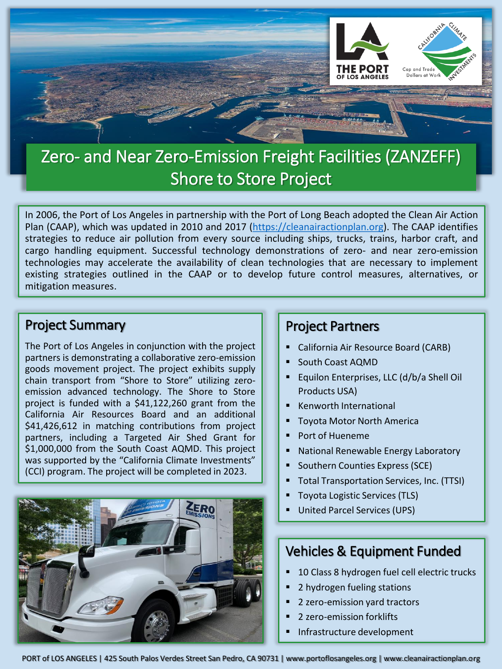

# Zero- and Near Zero-Emission Freight Facilities (ZANZEFF) Shore to Store Project

In 2006, the Port of Los Angeles in partnership with the Port of Long Beach adopted the Clean Air Action Plan (CAAP), which was updated in 2010 and 2017 ([https://cleanairactionplan.org\)](https://cleanairactionplan.org/). The CAAP identifies strategies to reduce air pollution from every source including ships, trucks, trains, harbor craft, and cargo handling equipment. Successful technology demonstrations of zero- and near zero-emission technologies may accelerate the availability of clean technologies that are necessary to implement existing strategies outlined in the CAAP or to develop future control measures, alternatives, or mitigation measures.

#### Project Summary

The Port of Los Angeles in conjunction with the project partners is demonstrating a collaborative zero-emission goods movement project. The project exhibits supply chain transport from "Shore to Store" utilizing zeroemission advanced technology. The Shore to Store project is funded with a \$41,122,260 grant from the California Air Resources Board and an additional \$41,426,612 in matching contributions from project partners, including a Targeted Air Shed Grant for \$1,000,000 from the South Coast AQMD. This project was supported by the "California Climate Investments" (CCI) program. The project will be completed in 2023.



#### Project Partners

- California Air Resource Board (CARB)
- South Coast AQMD
- Equilon Enterprises, LLC (d/b/a Shell Oil Products USA)
- Kenworth International
- **Toyota Motor North America**
- Port of Hueneme
- **National Renewable Energy Laboratory**
- **Southern Counties Express (SCE)**
- Total Transportation Services, Inc. (TTSI)
- Toyota Logistic Services (TLS)
- **United Parcel Services (UPS)**

#### Vehicles & Equipment Funded

- 10 Class 8 hydrogen fuel cell electric trucks
- 2 hydrogen fueling stations
- 2 zero-emission yard tractors
- 2 zero-emission forklifts
- Infrastructure development

PORT of LOS ANGELES | 425 South Palos Verdes Street San Pedro, CA 90731 | www.portoflosangeles.org | www.cleanairactionplan.org